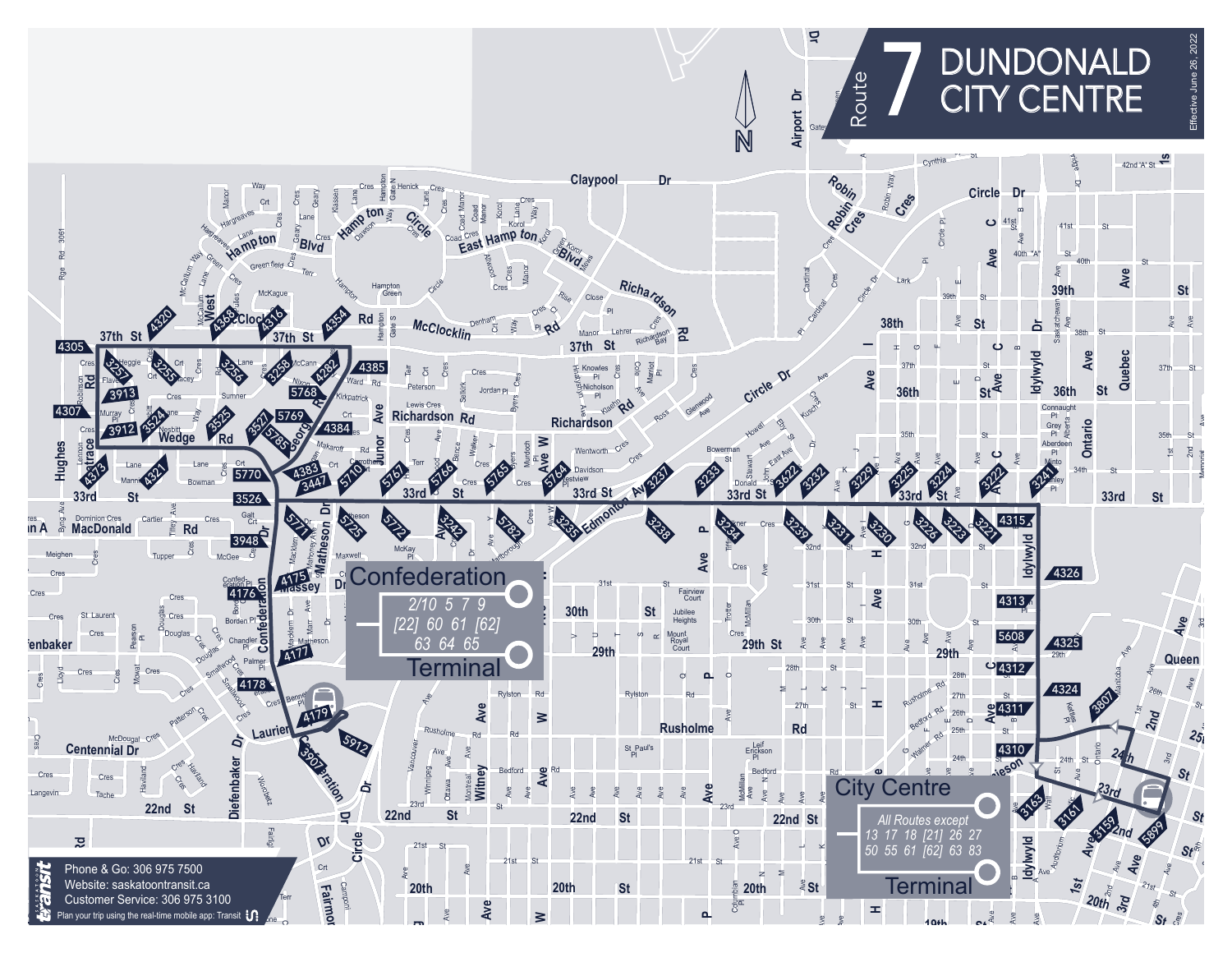